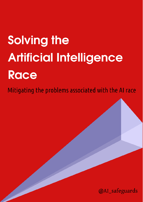# **Solving the Artificial Intelligence** Race

Mitigating the problems associated with the AI race

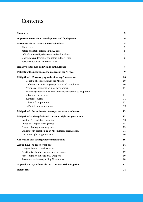# Contents

| <b>Summary</b>                                                 | $\boldsymbol{2}$ |
|----------------------------------------------------------------|------------------|
| <b>Important factors in AI development and deployment</b>      | 4                |
| Race towards AI: Actors and stakeholders                       | 5                |
| The AI race                                                    | 5                |
| Actors and stakeholders in the AI race                         | 5                |
| Difficulties faced by the actors and stakeholders              | 5                |
| Motivations & desires of the actors in the AI race             | 6                |
| Positive outcomes from the AI race                             | 7                |
| Negative outcomes and Pitfalls in the AI race                  | 7                |
| Mitigating the negative consequences of the AI race            | 9                |
| <b>Mitigation 1: Encouraging and enforcing Cooperation</b>     | 10               |
| Benefits of cooperation in the AI race                         | 10               |
| Difficulties in enforcing cooperation and compliance           | 10               |
| Avenues of cooperation in AI development                       | 11               |
| Enforcing cooperation : How to incentivize actors to cooperate | 11               |
| a. Form a consortium                                           | 11               |
| b. Pool resources                                              | 11               |
| c. Reward cooperation                                          | 12               |
| d. Punish non-cooperation                                      | 12               |
| Mitigation 2 : Incentives for transparency and disclosure      | 13               |
| Mitigation 3 : AI regulation & consumer rights organisations   | 13               |
| Need for AI regulatory agencies                                | 13               |
| Duties of AI regulatory agencies                               | 14               |
| Powers of AI regulatory agencies                               | 15               |
| Challenges in establishing an AI regulatory organisation       | 15               |
| Consumer rights organisations                                  | 16               |
| <b>Conclusion and Strategy Recommendations</b>                 | 16               |
| <b>Appendix A: AI based weapons</b>                            | 16               |
| Dangers from AI based weapons                                  | 17               |
| Practicality of enforcing ban on AI weapons                    | 19               |
| Risk Mitigation in usage of AI weapons                         | 19               |
| Recommendations regarding AI weapons                           | 20               |
| Appendix B : Hypothetical scenarios in AI risk mitigation      | 21               |
| <b>References</b>                                              | 24               |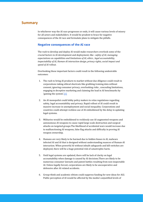# <span id="page-2-0"></span>**Summary**

In whichever way the AI race progresses or ends, it will cause various levels of misery for all actors and stakeholders. It would be prudent to brace for negative consequences of the AI race and formulate plans to mitigate the pitfalls.

### **Negative consequences of the AI race**

The rush to develop and deploy AI would make researchers overlook some of the crucial factors in AI development and deployment, like : *safety of AI, managing expectations on capabilities and limitations of AI, ethics , legal accountability, inspectability of AI, Human-AI interaction design, privacy rights, social impact and speed of AI rollout.*

Overlooking these important factors could result in the following undesirable outcomes:

- 1. The rush to bring AI products to market without due diligence could result in corporations taking ethical shortcuts like grabbing training data without consent, ignoring consumer privacy, overlooking risks , concealing limitations, engaging in deceptive marketing and claiming the lead in AI benchmarks by 'gaming the system'[.\[1\]](#page-24-1)
- 2. An AI monopolist could lobby policy makers to relax regulations regarding safety, legal accountability and privacy. Rapid rollout of AI could result in massive increase in unemployment and social inequality. Corporations and countries could attempt reckless use of AI emboldened by the delay in updating legal systems.
- 3. Militaries would be emboldened to recklessly use AI-augmented weapons and autonomous AI weapons to cause rapid large-scale destruction and surgical attacks on targeted groups.The likelihood of accidental wars would increase due to malfunctioning AI weapons, false flag attacks and difficulty in proving AI weapon ownership.
- 4. Humans are very likely to be harmed due to hidden biases in AI, malware infected AI and AI that is designed without understanding nuances of Human-AI interaction. When powerful AI without inbuilt safeguards and kill-switches are deployed, there will be a huge potential risk of catastrophic harm.
- 5. Until legal systems are updated, there will be lack of clarity on legal accountability when damage is caused by AI decisions.There are likely to be numerous consumer lawsuits and patent battles resulting from non-inspectable AI. Unless legally forced, corporations are likely to be uncooperative and defensive after AI related accidents.
- 6. Group-think and academic elitism could suppress funding for new ideas for AGI. Public perception of AI would be affected by the media's unjustified levels of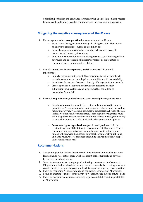optimism/pessimism and constant scaremongering. Lack of immediate progress towards AGI could affect investor confidence and increase public skepticism.

# **Mitigating the negative consequences of the AI race**

- 1. Encourage and enforce **cooperation** between actors in the AI race :
	- Form teams that agree to common goals, pledge to ethical behaviour and agree to commit resources to a common pool
	- Reward cooperation with faster regulatory clearances, access to resources and monetary incentives
	- Punish non-cooperation by withholding resources, withholding rollout approvals and encouraging blacklist/boycott of 'rogue' entities by consumers, governments and regulators
- 2. Provide **incentives for transparency and disclosure** of ideas and AI milestones :
	- Publicly recognize and reward AI corporations based on their track record on customer privacy, legal accountability and AI inspectability.
	- Incentivize disclosure of research data by offering significant rewards
	- Create open-for-all contests and reward contestants on their submissions on novel ideas and algorithms that could lead to inspectable & safe AGI
- 3. Create AI **regulatory organisations and consumer rights organisations :**
	- **Regulatory agencies** need to be created and empowered to impose penalties on AI corporations for non-cooperative behaviour, misleading marketing, privacy violations, attempts to conceal risks, breach of ethics , safety violations and reckless usage. These regulatory agencies could aid in dispute redressal, handle complaints, initiate investigation on any AI related incident and could work with other government agencies
	- **Consumer rights organisations** specific to AI products could be created to safeguard the interests of consumers of AI products. These consumer rights organisations should be non-profit independently funded entities, with the mission to protect consumers by publishing unbiased reviews of AI products describing their applications, usage, vulnerabilities and risks

### **Recommendations**

- 1. Accept and plan for the fact that there will always be bad and malicious actors leveraging AI. Accept that there will be constant battles (virtual and physical) between good-AI and bad-AI.
- 2. Setup framework for encouraging and enforcing cooperation in AI research
- 3. Mitigate undesirable behaviour through various channels like creating new legal requirements , consumer boycott and blacklisting of uncooperative corporations
- 4. Focus on regulating AI corporations and educating consumers of AI products
- 5. Focus on creating legal accountability in AI weapons usage instead of futile bans.
- 6. Focus on designing safeguards, enforcing legal accountability and inspectability of AI products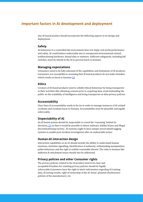# <span id="page-4-0"></span>**Important factors in AI development and deployment**

Any AI based product should incorporate the following aspects in its design and deployment :

### **Safety**

AI behaviour in a controlled lab environment does not imply real world performance and safety. AI could behave undesirably due to unexpected environmental stimuli, malfunctioning hardware, biased data or malware. Sufficient safeguards, including kill switches, must be inbuilt in the AI to prevent harm to humans.

### **Managing expectations**

Consumers need to be fully educated of the capabilities and limitations of AI products. Consumers are susceptible to assuming that AI based products do not make mistakes, which results in harm to humans [\[2\]](#page-24-2)

### **Ethics**

Creators of AI based products need to exhibit ethical behaviour by being transparent in their activities like obtaining consent prior to acquiring data, avoid misleading the public on the scalability of intelligence and being transparent on data privacy policies.

### **Accountability**

Clear lines of accountability needs to be set in order to manage instances of AI related accidents and resultant harm to humans. Accountability must be plausible and legally enforceable.

### **Inspectability of AI**

An AI based system should be inspectable to reveal the 'reasoning' behind its decisions,  $\boxed{3}$  so that it would be possible to detect malware, hidden biases and illegal discrimination*(eg:racism)* . AI systems ought to have tamper-proof inbuilt logging systems to enable post-incident investigation after an undesirable action.

### **Human-AI interaction design**

Interaction capabilities in an AI should include the ability to understand human emotions, intention signalling, identification of authority, withstanding manipulation, polite behaviour and the right to exhibit reasonable dissent. The risks to humans like addiction & attachment issues should also be addressed.

### **Privacy policies and other Consumer rights**

The privacy policies related to the AI product need to be clear and acceptable.Penalties for violating privacy policies should be legally enforceable.Consumers have the right to know information regarding AI training data, AI testing results, right of ownership of the AI 'brain', planned obsolescence policies of the manufacturer, etc.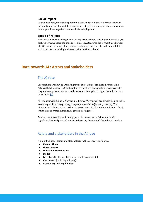### **Social impact**

AI product deployment could potentially cause huge job losses, increase in wealth inequality and social unrest. In cooperation with governments, regulators must plan to mitigate these negative outcomes before deployment.

### **Speed of rollout**

Sufficient time needs to be given to society prior to large scale deployments of AI, so that society can absorb the shock of job losses.A staggered deployment also helps in identifying performance shortcomings , unforeseen safety risks and vulnerabilities which can then be quickly addressed prior to wider roll-out.

# <span id="page-5-1"></span><span id="page-5-0"></span>**Race towards AI : Actors and stakeholders**

# The AI race

Corporations worldwide are racing towards creation of products incorporating Artificial Intelligence*(AI)*. Significant investment has been made in recent years by corporations, private investors and governments to gain the upper hand in the race towards AI. [\[4\]](#page-24-4)

AI Products with Artificial Narrow Intelligence *(Narrow-AI)* are already being used to execute specific tasks *(eg: energy usage optimisation, self-driving cars,etc).* The ultimate goal of most AI researchers is to create Artificial General Intelligence *(AGI)*, which aims to create human level generic intelligence.

Any success in creating sufficiently powerful narrow-AI or AGI would confer significant financial gain and power to the entity that created the AI based product.

# <span id="page-5-2"></span>Actors and stakeholders in the AI race

A simplified list of actors and stakeholders in the AI race is as follows:

- **● Corporations**
- **● Governments**
- **● Individual contributors**
- **● Media**
- **Investors** (including shareholders and governments)
- **● Consumers** (including military)
- **● Regulatory and legal bodies**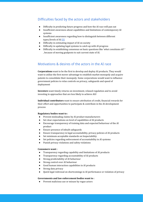# <span id="page-6-0"></span>Difficulties faced by the actors and stakeholders

- Difficulty in predicting future progress and how the AI race will pan out
- Insufficient awareness about capabilities and limitations of contemporary AI systems
- Insufficient awareness regarding how to distinguish between different types/levels of AI [\[5\]](#page-24-5)
- Difficulty in estimating impact of AI on society
- Difficulty in updating legal systems to catch up with AI progress
- Difficulty in establishing consensus on basic questions like '*what constitutes AI? '* , because of moving goalposts to suit current state of AI.

# <span id="page-6-1"></span>Motivations & desires of the actors in the AI race

**Corporations** want to be the first to develop and deploy AI products. They would want to utilize the first mover advantage to establish market monopoly and acquire patents to consolidate their monopoly. Some corporations would want to influence government policies to relax controls on privacy, safeguards and speed of deployment

**Investors** want timely returns on investment, relaxed regulation and to avoid investing in approaches that are less likely to achieve AGI

**Individual contributors** want to ensure attribution of credit, financial rewards for their effort and opportunities to participate & contribute in the AI development process

### **Regulatory bodies want to :**

- Prevent misleading claims by AI product manufacturers
- Set clear expectations on level of capabilities of AI products
- Encourage transparency of training data and expected behaviour of the AI product
- Ensure presence of inbuilt safeguards
- Ensure transparency in legal accountability, privacy policies of AI products
- Set minimum acceptable standards on Inspectability
- Set policies regarding enforcement of accountability in AI systems
- Punish privacy violations and safety violations

### **Consumers want :**

- Transparency regarding capability and limitations of AI products
- Transparency regarding accountability of AI products
- Strong predictability of AI behaviour
- Strong control over AI behaviour
- Good human interaction capabilities in AI products
- Strong data privacy
- Quick legal redressal on shortcomings in AI performance or violation of privacy

### **Governments and law enforcement bodies want to :**

● Prevent malicious use or misuse by rogue actors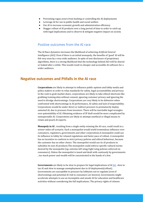- Preventing rogue actors from hacking or controlling the AI deployments
- Leverage AI for use in public health and social welfare
- Use AI to increase economic growth and administration efficiency
- Stagger rollout of AI products over a long period of time in order to catch up with legal implications and to observe & mitigate negative impact on society

## <span id="page-7-0"></span>Positive outcomes from the AI race

The AI Race dynamics increases the likelihood of achieving *Artificial General Intelligence (AGI)*. Even if there is an initial monopoly, the benefits of 'good' AI will be felt very soon by a very wide audience. In spite of non-disclosure of proprietary algorithms, there is a strong likelihood that the technology behind AGI will be shared or leaked after a while. This would result in cheaper and accessible AI software for a wider audience.

# <span id="page-7-1"></span>**Negative outcomes and Pitfalls in the AI race**

**Corporations** are likely to attempt to influence public opinion and lobby media and policy makers in order to relax standards for safety, legal accountability and privacy. In the rush to grab market share, corporations are likely to take ethical shortcuts like grabbing training data without consent, ignoring customer privacy and ignoring the need to divulge shortcomings. Corporations are very likely to be defensive when confronted with shortcomings in AI performance, AI safety and lack of inspectability. Corporations would be under direct or indirect pressure to prematurely deploy untested AI, due to pressure from investors. There will be inevitable legal wrangles over patentability of AI. Obtaining evidence of IP theft would be more complicated by uninspectable AI. Corporations are likely to attempt unethical or illegal means to retain and poach AI experts.

**Monopoly in AI** , resulting from a single entity winning the AI race, could result in a *winner-takes-all* scenario. Such a monopolist would wield tremendous influence over consumers, regulators, governments and other corporations.A monopolist could use its influence to lobby for relaxed regulations and faster pace of rollout. A monopolist has no incentive to conform to strict privacy policies and ethical behaviour, because the customer has no other choice. The monopolist would use its AI products to subsidise its non-AI products.The monopolist could enforce specific cultural norms desired by the monopolist (eg: extreme left wing/right wing policies enforced on consumers). Unless the monopolist is taxed and dealt with cautiously by governments , too much power and wealth will be concentrated in the hands of a few.

**Governments** are likely to be slow to prepare for legal implications of AI [\[6\]](#page-24-6) , slow to tax AI and slow to manage unemployment due to AI deployment(rollout) . Governments are susceptible to pressure by lobbyists not to regulate (even if shortcomings and potential AI risk to consumers are known). Governments might accelerate attempts to use an incomplete and unsafe AI for education and healthcare activities without considering the full implications. The privacy rights of citizens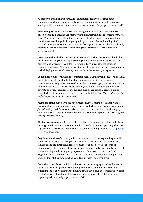might be violated if an insecure AI is clandestinely deployed for large scale communication tapping and surveillance. Governments are also likely to restrict sharing of AGI research to other countries, slowing down the progress towards AGI

**Fear-mongers** would continue to issue exaggerated warnings regarding the risks posed by Artificial Intelligence, mostly without understanding the contemporary state of AI. While a basic level of caution is justified  $[7]$ , whipping up paranoia without justification would negatively impact public perception of AI and funding of AI research. Sensationalist books that whip up fear against AI are popular and sell well, creating a conflict of interest for fear-mongers to overestimate risks posed by advanced AI.<sup>[8]</sup>

**Investors & shareholders of Corporations** would rush to invest in AI blindly due to the 'Fear of Missing Out', ending up sinking money into unproven algorithms that cannot plausibly result in AGI. Investors would have unrealistic expectations regarding short term AI progress. Investors would apply pressure on corporations for rushed deployments of AI based systems without the necessary safeguards.

**Consumers** would form wrong assumptions regarding the intelligence level of the AI product and would inevitably find shortcomings in expected performance. Consumers are likely to be victims of misleading marketing, privacy violations, inbuilt hidden biases in the AI, insecure hackable AI, etc. If the AI product manufacturer offers to take responsibility for the dangers in its usage, it would create a moral hazard where the customer is tempted to take unjustified risks. (*Eg: reckless use of a self driving car in hazardous weather*).

**Members of the public** who are not direct consumers might feel unhappy due to disproportionate allocation of resources to AI product consumers *(eg:dedicated roads for self driving cars).* Some would also be tempted to test the limits of AI safety by interfering with the environment where the AI product is deployed*.(Eg: blocking a self driving car intentionally)*

**Military consumers** would rush to deploy killer AI, using real world battlefields as testing grounds. Military consumers might be unethical in AI weapon usage because legal systems will be slow to catch up on autonomous killing machines. See [Appendix](#page-17-0) A : AI based [weapons](#page-17-0)

**Regulatory bodies** of a country might be tempted to relax safety and inspectability standards to accelerate AI progress in that country. They might overlook privacy violations and the potential AI risk to consumers and society. The absence of minimum acceptable standards for performance, safety and inspectability mean that almost nothing would legally stop deployment of an incomplete or unsafe AI. Regulators might accept AI performance in a controlled environment and permit a wider rollout of the product, which could result in risk to human lives

**Individual contributors** might continue to persist in using approaches that are not likely to achieve AGI (due to groupthink phenomenon). A inefficient irrelevant algorithm backed by enormous computing power could give encouraging short term results but will not lead to AGI. Individual contributors are likely to be defensive regarding lack of actual progress towards AGI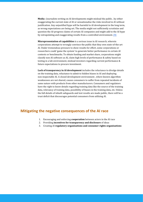**Media :** Journalists writing on AI developments might mislead the public , by either exaggerating the current state of AI or sensationalise the risks involved in AI without justification. Any unjustified hype will be harmful to AI development in the long term, as wrong expectations are being set. The media might not sufficiently scrutinize and question the AI-progress claims of certain AI companies and might add to the AI hype by extrapolating and exaggerating results from a controlled environment. [\[9\]](#page-24-9)

**Misrepresentation of capabilities** is a serious issue in AI research, wherein corporations attempt to wrongly convince the public that they own state-of-the-art AI. Under tremendous pressure to show results for effort, some corporations or researchers could 'game the system' to generate better performance in certain AI contests or benchmarks. To obtain funding and market share, corporations might classify non-AI software as AI, claim high levels of performance & safety based on testing in a lab environment, mislead investors regarding current performance & future expectations to procure investment.

**Lack of transparency in AI development** includes the reluctance to divulge details on the training data, reluctance to admit to hidden biases in AI and deploying non-inspectable AI. A closed development environment , where known algorithm weaknesses are not shared, causes consumers to suffer from repeated incidents of same nature with products from other manufacturers. Consumers and regulators have the right to know details regarding training data like the source of the training data, relevancy of training data, possibility of biases in the training data, etc. Unless the full details of inbuilt safeguards and test results are made public, there will be a trust deficit that discourages potential consumers from utilizing AI.

# <span id="page-9-0"></span>**Mitigating the negative consequences of the AI race**

- 1. Encouraging and enforcing **cooperation** between actors in the AI race
- 2. Providing **incentives for transparency and disclosure** of ideas
- 3. Creating AI **regulatory organisations and consumer rights organisations**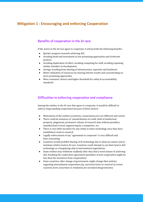# <span id="page-10-1"></span><span id="page-10-0"></span>**Mitigation 1 : Encouraging and enforcing Cooperation**

# Benefits of cooperation in the AI race

If the actors in the AI race agree to cooperate, it will provide the following benefits :

- Quicker progress towards achieving AGI
- Avoiding dead-end investment in less promising approaches and irrelevant projects
- Avoiding duplication of effort, avoiding competing for staff, avoiding repeating similar mistakes in development.
- Savings resulting from sharing of infrastructure, expertise and hardware
- Better utilization of resources by sharing interim results and concentrating on more promising approaches
- More consumer choices and higher threshold for safety & accountability standards

# <span id="page-10-2"></span>Difficulties in enforcing cooperation and compliance

Among the entities in the AI race that agree to cooperate, it would be difficult to enforce long-standing cooperation because of these factors:

- Motivations of the entities (countries, corporations,etc) are different and varied.
- There could be instances of misattribution of credit, theft of intellectual property, plagiarism, premature release of research data without penalties, unauthorized reverse engineering by a competitor, etc.
- There is very little incentive for any entity to share technology once they have established a lead in research
- Legally enforcement of any "agreement to cooperate" is very difficult and time-consuming
- Countries would prohibit sharing of AI technology due to dual-use nature and to maintain relative lead in AI race. Countries could attempt to use their lead in AGI technology as a bargaining chip in international negotiations
- Some entities may withdraw suddenly after they find a novel means of achieving AGI, breaking the cooperative agreement (penalties of non-cooperation might be less than the incentives from cooperation)
- Some countries, after change of government, might change their policies regarding international cooperation *(eg: sanctions/insist on removal of certain countries from consortium in retaliation for unrelated disagreements)*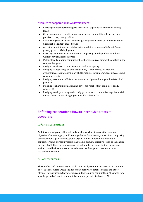### <span id="page-11-0"></span>Avenues of cooperation in AI development

- Creating standard terminology to describe AI capabilities, safety and privacy levels
- Creating common risk mitigation strategies, accountability policies, privacy policies , transparency policies
- Establishing consensus on the investigative procedures to be followed after an undesirable incident caused by AI
- Agreeing on minimum acceptable criteria related to *inspectability, safety and privacy* prior to AI deployment
- Creating a common Ethics committee comprising of independent members without any conflict of interest
- Making legally binding commitment to share resources among the entities in the cooperative group
- Pledging to adhere to code of conduct and Ethics policy
- Pledging transparency on data acquisition, AI ownership, 'learnt data' ownership, accountability policy of AI products, consumer appeal processes and consumer rights
- Pledging to commit sufficient resources to analyse and mitigate the risks of AI products
- Pledging to share information and novel approaches that could potentially achieve AGI
- Pledging to adopt strategies that help governments to minimise negative social impact due to AI and pledging responsible rollout of AI

# <span id="page-11-1"></span>Enforcing cooperation : How to incentivize actors to cooperate

### <span id="page-11-2"></span>a. Form a consortium

An international group of likeminded entities, working towards the common objective of advancing AI, could join together to form a team/consortium comprising of corporations, governments, global organisations, independent individual contributors and private investors. The team's primary objective could be the shared pursuit of AGI. Once the team gains a critical number of important members, more entities could be incentivised to join the team as they gain access to the latest research information.

### <span id="page-11-3"></span>b. Pool resources

The members of this consortium could then legally commit resources to a 'common pool'. Such resources would include funds, hardware, patent licences and other physical infrastructure. Corporations could be required commit their AI experts for a specific period of time to work in this common pursuit of advanced AI.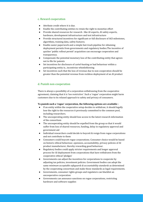### <span id="page-12-0"></span>c. Reward cooperation

- Attribute credit where it is due.
- Enable the contributing entities to retain the right to monetize effort
- Provide shared resources for research : like AI experts, AI safety experts, hardware, development infrastructure and test infrastructure
- Provide structured incentives for significant or full disclosure of AGI milestones, algorithms, training data, safety features.
- Enable easier paperwork and a simple fast-track pipeline for obtaining deployment permits from governments and regulatory bodies.The incentive of quicker 'public rollout permit' acquisition can encourage cooperation and transparency.
- Compensate the potential monetary loss of the contributing entity that agrees not to file for patents
- Set incentives for disclosure of cartel-busting or bad behaviour within a participating entity ie., incentivize whistleblowing
- Set incentives such that the loss of revenue due to non-cooperation should be greater than the potential revenue from reckless deployment of an AI product

### <span id="page-12-1"></span>d. Punish non-cooperation

There is always a possibility of a corporation withdrawing from the cooperative agreement, claiming that it is 'too restrictive'. Such a 'rogue' corporation might harm customers due to its relaxed approach to safety and privacy of consumers.

### **To punish such a 'rogue' corporation, the following options are available :**

- If an entity within the cooperative setup decides to withdraw, it should legally lose the right to the resources it previously committed to the common pool, including researchers.
- The uncooperating entity should lose access to the latest research information of the consortium
- The uncooperating entity should be expelled from the group so that it would suffer from loss of shared resources, funding, delay in regulatory approval and government aid
- Individual researchers could decide to boycott & resign from rogue corporations and not contribute to them
- Consumers could boycott rogue corporations. Consumer choice would be based on historic ethical behaviour, openness, accountability, privacy policies of AI product manufacturer, thereby rewarding good behaviour.
- Regulatory bodies could apply stricter requirements and longer approval process for AI deployment from corporations that have withdrawn from the cooperative ethical 'pledges'
- Governments can adjust the incentives for corporations to cooperate by adjusting tax policies, investment policies. Government bodies can adopt the same *minimum acceptable safeguards & accountability standards* as determined by the cooperating consortium and make those standards as legal requirements.
- Governments, consumer rights groups and regulators can blacklist an uncooperative corporation
- Governments can announce sanctions on rogue corporations, restricting hardware and software supplies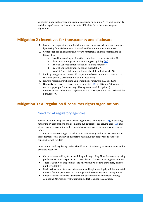While it is likely that corporations would cooperate on defining AI related standards and sharing of resources, it would be quite difficult to force them to divulge AI algorithms

# <span id="page-13-0"></span>**Mitigation 2 : Incentives for transparency and disclosure**

- 1. Incentivise corporations and individual researchers to disclose research results by offering financial compensation and a wider audience for their ideas
- 2. Create open-for-all contests and reward contestants on their submissions on topics like :
	- a. Novel ideas and algorithms that could lead to scalable & safe AGI
	- b. Ideas on risk mitigation and enforcing corrigibility  $[10]$
	- c. Proof of Concept demonstration of thinking machines
	- d. Proof of Concept demonstration of inspectable AI
	- e. Proof of Concept demonstration of plausible milestones in AGI
- 3. Publicly recognize and reward AI corporations based on their track record on customer privacy, accountability and inspectability.
- 4. Reward researchers who find vulnerabilities or malware in AI products
- 5. **Diversity in research :** To prevent groupthink [\[11\]](#page-24-11) & elitism in AGI research, encourage people from a variety of backgrounds and disciplines ( neuroscientists, behavioural psychologists) to participate in AI research and the pursuit of AGI

# <span id="page-13-2"></span><span id="page-13-1"></span>**Mitigation 3 : AI regulation & consumer rights organisations**

# Need for AI regulatory agencies

Several incidents like privacy violations in gathering training data [\[12\]](#page-24-12), misleading marketing by corporations and premature public trials of self driving cars [\[13\]](#page-24-13) have already occurred, resulting in detrimental consequences to consumers and general public.

Corporations creating AI based products are usually under severe pressure to demonstrate results quickly and generate revenue. Such corporations cannot be expected to self-regulate.

Governments and regulatory bodies should be justifiably wary of AI companies and AI products because :

- Corporations are likely to mislead the public regarding AI performance, by using performance metrics specific to a particular test dataset or testing environment
- There is usually no inspection of the AI system by a neutral third party prior to public availability
- It takes Governments years to formulate and implement legal guidelines to catch up with the AI capabilities and to mitigate unforeseen negative consequences
- Corporations are likely to just match the bare minimum safety level among competing AI products, without making effort to enhance safeguards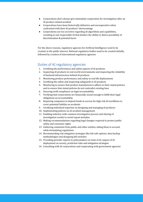- Corporations don't always give immediate cooperation for investigation after an AI product related accident
- Corporations have been historically defensive and uncooperative when confronted with their AI products' shortcomings
- Corporations are too secretive regarding AI algorithms and capabilities, resulting in non-inspectable AI that hinders the ability to detect possibility of discrimination & potential harm

For the above reasons, regulatory agencies for Artificial Intelligence need to be created, in the public interest. National regulatory bodies need to be created initially, followed by creation of international regulatory agencies

# <span id="page-14-0"></span>Duties of AI regulatory agencies

- 1. Certifying the performance and safety aspects of AI products
- 2. Inspecting AI products in real-world environments and inspecting the reliability of backend infrastructure behind AI products
- 3. Monitoring product performance and safety in real-life deployments
- 4. Certifying the safety and inspecting safeguards in AI products
- 5. Monitoring to ensure that product manufacturers adhere to their stated policies and to ensure that stated policies do not contradict existing laws
- 6. Ensuring swift compliance on legal accountability
- 7. Verifying that corporations are financially sound enough to fulfill their legal obligations on accountability
- 8. Requiring companies to deposit funds in escrow for high risk AI workflows to cover potential liability on accidents
- 9. Certifying individual expertise on designing and managing AI products
- 10. Implementing policies on AI accident management
- 11. Enabling industry wide common investigative process and sharing of investigation results to avoid repeat mistakes
- 12. Making recommendations regarding legal changes required to protect public safety and consumer rights
- 13. Gathering comments from public and other entities, taking them to account while formulating regulations
- 14. Recommending risk mitigation strategies like fail-safe options, data backup methodologies and designing kill-switches
- 15. Providing periodic reports to policymakers on state of AI, impact of AI deployment on society, predicted risks and mitigation strategies
- 16. Consulting with AI corporations and cooperating with government agencies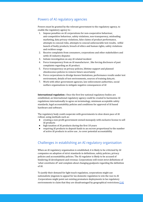# <span id="page-15-0"></span>Powers of AI regulatory agencies

Powers must be granted by the relevant government to the regulatory agency, to enable the regulatory agency to :

- 1. Impose penalties on AI corporations for non-cooperative behaviour, anti-competitive behaviour, safety violations, non-transparency, misleading marketing, data privacy violations, false claims of product performance, attempts to conceal risks, attempts to conceal unfavourable test results, wilful launch of faulty products, breach of ethics and human rights, safety violations and reckless usage
- 2. Receive complaints from consumers, corporations and other stakeholders and settle AI industry disputes
- 3. Initiate investigation on any AI related incident
- 4. Force transparency from an AI manufacturer , like forcing disclosure of past complaints regarding an AI product.
- 5. Force transparency on privacy policies, lifetime support and planned obsolescence policies to remove future uncertainty
- 6. Force corporations to divulge known limitations, performance results under test environment, details of test environments, sources of training data,etc.
- 7. Work with other government agencies, law enforcement authorities, social welfare organisations to mitigate negative consequences of AI

**International regulation :** Once the first few national regulatory bodies are established, an International regulatory agency could be created to harmonise AI regulations internationally to agree on terminology, minimum acceptable safety standards, legal accountability policies and conditions for approval of AI based hardware and software.

The regulatory body could cooperate with governments to slow down pace of AI rollout, using methods such as:

- creating a non-profit government owned monopoly with exclusive license to sell AI products
- high taxation of AI products during the first 10 years
- requiring AI products to deposit funds to an escrow proportional to the number of active AI products in active use , to cover potential accountability

# <span id="page-15-1"></span>Challenges in establishing an AI regulatory organisation

When an AI regulatory organisation is established, it is likely to be criticized by AI companies on adoption of strict standards in definitions, safety policies, privacy policies and accountability policies. The AI regulator is likely to be accused of hindering AI development and revenue. Corporations will resist strict definitions of '*what constitutes AI*' and complain about changing goalposts regarding the definition of AI.

To justify their demand for light touch regulation, corporations might use nationalistic jingoism to appeal for lax domestic regulation to win the race to AI .Corporations might point out existing premature deployments in lax regulatory environments to claim that they are disadvantaged by geographical restrictions[.\[14\]](#page-24-14)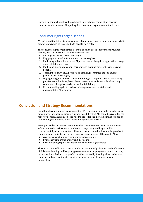It would be somewhat difficult to establish international cooperation because countries would be wary of impeding their domestic corporations in the AI race.

# <span id="page-16-0"></span>Consumer rights organisations

To safeguard the interests of consumers of AI products, one or more consumer rights organizations specific to AI products need to be created.

The consumer rights organisation(s) should be non-profit, independently funded entities, with the mission to protect consumers by :

- 1. Raising awareness of consumer rights
- 2. Flagging untruthful information in the marketplace
- 3. Publishing unbiased reviews of AI products describing their applications, usage, vulnerabilities and risks
- 4. Publishing information about corporations that misrepresent costs, fees and benefits
- 5. Testing the quality of AI products and making recommendations among products of same category
- 6. Highlighting good and bad behaviour among AI companies like accountability policies, refund policies, level of transparency, attitude towards addressing complaints, deceptive marketing and unfair billing
- 7. Recommending against purchase of dangerous, unpredictable and unaccountable AI products

# <span id="page-16-1"></span>**Conclusion and Strategy Recommendations**

Even though contemporary AI is incapable of '*creative thinking*' and is nowhere near human level intelligence, there is a strong possibility that AGI could be created in the next few decades. Human societies need to brace for the inevitable malicious use of AI, including autonomous killer robots and cyberspace threats.

Attempts need to be made to generate industry-wide consensus on terminologies, safety standards, performance standards, transparency and inspectability. Using a carefully designed system of incentives and penalties, it would be possible to counteract and mitigate the various negative consequences of the race to AI by :

- creating consortium with cooperating AI race actors
- by incentivising transparency and disclosure
- by establishing regulatory bodies and consumer rights bodies

The impact of AI rollout on society should be continuously observed and unforeseen pitfalls must be mitigated by giving governments and legal systems time to catch up on implications. Reckless usage of AI must be resisted by forming alliances between countries and corporations to penalise uncooperative malicious actors and monopolies.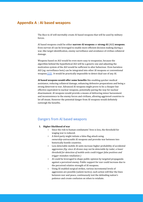# <span id="page-17-0"></span>**Appendix A : AI based weapons**

The *Race to AI* will inevitably create AI based weapons that will be used by military forces.

AI based weapons could be either **narrow-AI weapons** or **strong-AI** (AGI) **weapons**. Even *narrow-AI* can be leveraged to enable more efficient decision making during a war, like target identification, enemy surveillance and avoidance of civilian collateral damage.

Weapons based on AGI would be even more easy to weaponize, because the algorithm behind the hypothetical AGI will be a generic one and adjusting the motivation system of the AGI would be sufficient to alter behaviour. Even harmless AGI (eg: surveillance bots) can be integrated into other AI weapons or conventional weapons [\[15\]](#page-25-0) . It would be practically impossible to detect dual-use of any AI.

**AI based weapons would offer some benefits** like enabling quicker medical assistance, reducing collateral damage, enhancing defensive preparations and being a strong deterrent to war. Advanced AI weapons might prove to be a cheaper but effective equivalent to nuclear weapons, potentially paving the way for nuclear disarmament. AI weapons would provide a means of delivering minor harassment and inconvenience to the enemy forces and civilians, allowing aggrieved countries to let off steam. However the potential danger from AI weapons would definitely outweigh the benefits.

# <span id="page-17-1"></span>Dangers from AI based weapons

- **1. Higher likelihood of war**
	- **○** Since the risk to human combatants' lives is less, the threshold for waging war is reduced.
	- A third party might initiate a false-flag attack using *ownership-untraceable* AI weapons and provoke war between two historically hostile countries.
	- Less detectable mobile AI units increase higher probability of accidental aggression *(Eg: since AI drones may not be detectable by radar, a lower threshold for detection of mobile units could trigger false positives and trigger mistaken retaliation )*
	- *○* AI could be leveraged to shape public opinion by targeted propaganda against a perceived enemy. Public support for war could increase due to the perceived relative strength of AI weapons.
	- *○* Using AI enabled surgical strikes, various incremental levels of aggression are possible (*salami tactics)*, such action will blur the lines between war and peace, continuously test the defending nation's patience and create confusion on when to retaliate.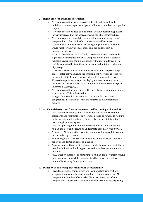### *2.* **Highly efficient and rapid destruction:**

- AI weapons could be used to assassinate politically significant individuals or harm a particular group of humans based on race, gender, age, etc.
- AI weapons could be used to kill humans without destroying physical infrastructure, so that the aggressor can utilize the infrastructure.
- AI weapons production might cause a fall in manufacturing cost of weapons due to their high effectiveness, minimal hardware requirements, intelligence and self-navigating abilities.AI weapons would most certainly produce more kills per dollar spent in manufacturing cost.
- AI can enable efficient internal military communication and enable significantly faster pace of war. AI weapons would make it easier to maintain a relentless continuous attack without a minute's gap; This can't be replicated by traditional armies due to limitations in human physiology.
- A war with AI weapons will open novel war-fronts (deep sea, deep space), potentially damaging the environment. AI weapons could self navigate to difficult-to-access places for self storage and recovery.
- AI based weapons enable quicker deployment on short notice and enable easier destruction of vital communication infrastructure *(like undersea internet cables).*
- AI weapons could be integrated with conventional weaponry for more accuracy and efficient destruction.
- AI algorithms could assist in optimal resource allocation and geographical distribution of *men and materiel* to inflict maximum damage

### 3. **Accidental destruction from incompetent, malfunctioning or hacked AI:**

- An AI could be hacked to alter its behaviour or loyalty. The inbuilt safeguards and restraints of an AI weapon could be removed by a third party hacking into its software. There is also the possibility of the AI overriding its own safeguards.
- An AI weapon might misunderstand the command or intention of its human handlers and execute an undesirable action *(eg: friendly fire).*
- A damaged AI weapon that loses its communication capabilities cannot be controlled by its owners.
- Badly designed AI based systems might accidentally trigger offensive action or accidental launches of missiles.
- An AI weapon without sufficient power might behave unpredictably or lose the ability to withhold aggressive action, unless a safe shutdown is initiated.
- An AI weapon incapable of contacting its human handlers might survive long periods of time, while retaining its lethal power for centuries, potentially harming future generations.

### 4. **Difficulty in ownership traceability and accountability**

○ Given the potential compact size and low manufacturing cost of AI weapons, there would be many unauthorised manufacturers of AI weapons. It would be difficult to legally prove ownership of an AI weapon after a destructive incident. Mistaken assumptions regarding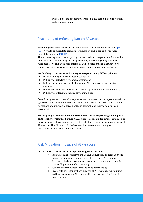ownership of the offending AI weapon might result in hostile relations and accidental wars.

# <span id="page-19-0"></span>Practicality of enforcing ban on AI weapons

Even though there are calls from AI researchers to ban autonomous weapons [\[16\]](#page-25-1) [\[17\]](#page-25-2), it would be difficult to establish consensus on such a ban and even more difficult to enforce it [\[18\]](#page-25-3) [\[19\]](#page-25-4).

There are strong incentives for gaining the lead in the AI weapons race. Besides the financial gain from efficiency in arms production, the winning entity is likely to be more aggressive and attempt to enforce its will on other entities & countries. No country will forgo a chance of gaining an upper hand in a war or a negotiation.

### **Establishing a consensus on banning AI weapons is very difficult, due to:**

- Distrust among historically hostile countries
- Difficulty of detecting AI weapon development
- Difficulty of legally proving deployment of AI weapons or AI-augmented weapons
- Difficulty of AI weapon ownership traceability and enforcing accountability
- Difficulty of enforcing penalties of violating a ban

Even if an agreement to ban AI weapons were to be signed, such an agreement will be ignored in times of a national crisis or preperation of war. Successive governments might not honour previous agreements and attempt to withdraw from such an agreement.

**The only way to enforce a ban on AI weapons is ironically through waging war on the entity owning the banned AI.** An alliance of likeminded entities could decide to use formidable force on any entity that breaks the terms of engagement in usage of AI weapons. The alliance could declare sanctions & trade wars on rogue AI-race-actors benefiting from AI weapons.

# <span id="page-19-1"></span>Risk Mitigation in usage of AI weapons

### **1. Establish consensus on acceptable usage of AI weapons:**

- **○** Formulate rules (similar to the Geneva Convention) to agree upon the manner of deployment and permissible targets for AI weapons
- Agree to limit theatres of war (eg: avoid deep space and deep sea for storage/deployment of AI weapons)
- Agree to prevent nuclear weapons being controlled by AI
- Create safe zones for civilians in which all AI weapons are prohibited and incursions by any AI weapon will be met with unified force of neutral entities.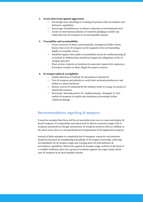### **2. Create deterrents against aggression:**

- Encourage more spending on creating AI systems with surveillance and defensive capabilities
- Encourage whistleblowers in defence industries at international level
- Create an international alliance of countries pledging to battle any entity that uses AI weapons in an unacceptable manner

### **3. Traceability and accountability:**

- Focus resources to detect unaccountable, unregistered killer robots. Ensure that every AI weapon can be mapped to the corresponding legally accountable owner.
- Establish legally enforceable accountability norms for malfunctioning AI or hacked AI. Malfunctions should not negate the obligations of the AI weapon operator.
- Place stricter controls on hardware & materials required for explosives & weapon creation, to deter illegal AI weapon creators.

### **4. AI weapon safety & corrigibility:**

- Enable detection of 'hacked' AI and malware infected AI
- Test AI weapons periodically to verify their motivation,behaviour and ability to control hardware
- Ensure control of command by the military entity in charge, by means of inbuilt kill switches.
- Determine '*Assembly points*' for 'malfunctioning', 'damaged' or 'lost' mobile AI weapons to enable safe shutdown, preventing civilian collateral damage

# <span id="page-20-0"></span>Recommendations regarding AI weapons

It must be accepted that there will be an inevitable arms race to create and deploy AI based weapons. It is impossible and impractical to detect or prevent usage of AI in weapons systems.Even though autonomous AI weapons based on AGI are unlikely in the short term, there is a strong likelihood of deployment of AI-augmented weapons.

Instead of futile attempts to completely ban AI weapons, resources and attention should be focussed on establishing traceability of AI weapon ownership, enforcing accountability for AI weapon usage and creating more AI with defensive & surveillance capabilities. Deterrents against AI weapon usage could be in the form of a credible retaliation plans by a group of countries against any rogue entity which uses AI weapons in an unacceptable manner.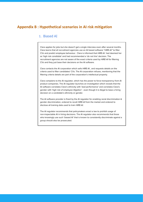# <span id="page-21-0"></span>**Appendix B : Hypothetical scenarios in AI risk mitigation**

# 1. Biased AI

Clara applies for jobs but she doesn't get a single interview even after several months. Clara learns that all recruitment agencies use an AI based software "HIRE-AI" to filter CVs and predict employee behaviour. Clara is informed that HIRE-AI had deemed her as 'high risk candidate' and had recommended a 'do not hire' decision. The recruitment agencies are not aware of the exact criteria used by HIRE-AI for filtering CVs and they just base their decisions on the AI software.

Clara contacts the AI corporation which sells HIRE-AI , and requests details on the criteria used to filter candidates' CVs. The AI corporation refuses, mentioning that the filtering criteria details are part of the corporation's intellectual property.

Clara complains to the AI regulator, which has the power to force transparency from AI product companies. The AI regulator launches an investigation which reveals that the AI software correlates Clara's ethnicity with 'bad performance' and correlates Clara's gender with 'high risk of employee litigation' - even though it is illegal to base a hiring decision on a candidate's ethnicity or gender.

The AI software provider is fined by the AI regulator for enabling racial discrimination & gender discrimination, ordered to recall HIRE-AI from the market and ordered to disclose all training data used to train HIRE-AI.

The AI regulator recommends that policymakers enact a law to prohibit usage of non-inspectable AI in hiring decisions. The AI regulator also recommends that those who knowingly use such 'biased AI' that is known to consistently discriminate against a group should also be prosecuted.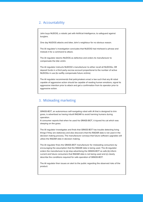# 2. Accountability

John buys NUDOG, a robotic pet with Artificial Intelligence, to safeguard against burglars.

One day NUDOG attacks and bites John's neighbour for no obvious reason.

The AI regulator's investigation concludes that NUDOG had misheard a phrase and mistook it for a command to attack.

The AI regulator deems NUDOG as defective and orders its manufacturer to compensate the bite victim.

The AI regulator instructs NUDOG's manufacturer to either recall all NUDOGs, OR deposit funds in a third party escrow account proportional to the number of active NUDOGs in use (to swiftly compensate future victims)

The AI regulator recommends that policymakers enact a law such that any AI robot capable of aggressive action should be capable of reading human emotions, signal its aggressive intention prior to attack and get a confirmation from its operator prior to aggressive action.

# 3. Misleading marketing

GRASS-BOT, an autonomous self-navigating robot with AI that is designed to trim grass, is advertised as having inbuilt RADAR to avoid harming humans during operation.

A consumer reports that when he used his GRASS-BOT, it injured his cat which was sleeping on the grass.

The AI regulator investigates and finds that GRASS-BOT has trouble detecting living things if they are stationary and also discovers that the RADAR data is not used in the decision making process, The manufacturer conveys that future software upgrades will utilize the RADAR data in decision making.

The AI regulator fines the GRASS-BOT manufacturer for misleading consumers by encouraging the assumption that the RADAR data is being used. The AI-regulator orders the manufacturer to (a) stop advertising the GRASS-BOT as safe (b) inform current and future consumers that RADAR data is not being used and (c) clearly describe the conditions required for safe operation of GRASS-BOT.

The AI regulator then issues an alert to the public regarding the observed risks of the product.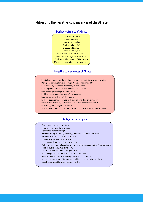# Mitigating the negative consequences of the AI race



### **Desired outcomes of AI race**

### **Negative consequences of AI race**

Possibility of Monopoly dominating the market, restricting consumer choice Monopoly lobbying for relaxed regulation and accountability Rush to deploy premature AI ignoring public safety Rush to generate revenue from substandard AI product Unforeseen gaps in legal accountability Reckless use of incredibly powerful AI weapons Fearmongering or Hype of AI in media Lack of transparency of privacy policies, training data procurement Harm due to biased AI, non-inspectable AI and malware infected AI Misleading marketing of AI products Wrong assumptions of consumers regarding AI capablities and performance

### **Mitigation strategies**

Create regulatory agencies for AI Establish consumer rights groups Standardize AI terminology Incentivize cooperation by providing funds and shared infrastructure Incentivize transparency and disclosure Fund new approaches to acheive AGI Set strict conditions for AI product rollout Withhold resources and regulatory approvals from uncooperative AI corporations Educate public on current state of AI Ensure that ownership of AI weapons is traceable Update legal systems to catchup with AI implications Blacklist / ban unethical or uncooperative AI corporations Impose higher taxes on AI products to mitigate corresponding job losses Incentivize whistleblowing on ethics breaches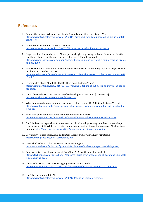# <span id="page-24-0"></span>**References**

- <span id="page-24-1"></span>1. Gaming the system : Why and How Baidu Cheated an Artificial Intelligence Test [https://www.technologyreview.com/s/538111/why-and-how-baidu-cheated-an-artificial-intelli](https://www.technologyreview.com/s/538111/why-and-how-baidu-cheated-an-artificial-intelligence-test/) [gence-test/](https://www.technologyreview.com/s/538111/why-and-how-baidu-cheated-an-artificial-intelligence-test/)
- <span id="page-24-2"></span>2. In Emergencies, Should You Trust a Robot? <http://www.news.gatech.edu/2016/02/29/emergencies-should-you-trust-robot>
- <span id="page-24-3"></span>3. Inspectability : Tension between AI and personal rights a growing problem : "Any algorithm that can't be explained can't be used by the civil service" : Mounir Mahjoubi [https://www.irishtimes.com/opinion/tension-between-ai-and-personal-rights-a-growing-proble](https://www.irishtimes.com/opinion/tension-between-ai-and-personal-rights-a-growing-problem-1.3422860) [m-1.3422860](https://www.irishtimes.com/opinion/tension-between-ai-and-personal-rights-a-growing-problem-1.3422860)
- <span id="page-24-4"></span>4. Report from the AI Race Avoidance Workshop : GoodAI and AI Roadmap Institute Tokyo, ARAYA headquarters, October 13, 2017 [https://medium.com/ai-roadmap-institute/report-from-the-ai-race-avoidance-workshop-bd631](https://medium.com/ai-roadmap-institute/report-from-the-ai-race-avoidance-workshop-bd631b2bbb2c) [b2bbb2c](https://medium.com/ai-roadmap-institute/report-from-the-ai-race-avoidance-workshop-bd631b2bbb2c)
- <span id="page-24-5"></span>5. Everyone Is Talking About AI—But Do They Mean the Same Thing? [https://singularityhub.com/2018/03/15/everyone-is-talking-about-ai-but-do-they-mean-the-sa](https://singularityhub.com/2018/03/15/everyone-is-talking-about-ai-but-do-they-mean-the-same-thing/) [me-thing/](https://singularityhub.com/2018/03/15/everyone-is-talking-about-ai-but-do-they-mean-the-same-thing/)
- <span id="page-24-6"></span>6. Unreliable Evidence : The Law and Artificial Intelligence , BBC Four [07-01-2015] <http://www.bbc.co.uk/programmes/b04wwgz9>
- <span id="page-24-7"></span>7. What happens when our computers get smarter than we are? [14:53]:Nick Bostrom, Ted talk [http://www.ted.com/talks/nick\\_bostrom\\_what\\_happens\\_when\\_our\\_computers\\_get\\_smarter\\_tha](http://www.ted.com/talks/nick_bostrom_what_happens_when_our_computers_get_smarter_than_we_are) [n\\_we\\_are](http://www.ted.com/talks/nick_bostrom_what_happens_when_our_computers_get_smarter_than_we_are)
- <span id="page-24-8"></span>8. The ethics of fear and how it undermines an informed citizenry <https://www.poynter.org/news/ethics-fear-and-how-it-undermines-informed-citizenry>
- <span id="page-24-9"></span>9. Don't believe the hype when it comes to AI : Artificial intelligence may be subject to more hype than any other field. While this creates funding opportunities, it could also damage AI's long-term potential <http://www.wired.co.uk/article/sensationalism-ai-hype-innovation>
- <span id="page-24-10"></span>10. Corrigibility : Nate Soares,Benja Fallenstein ,Eliezer Yudkowsky ,Stuart Armstrong <https://intelligence.org/files/Corrigibility.pdf>
- <span id="page-24-11"></span>11. Groupthink Dilemmas for Developing AI Self-Driving Cars <https://aitrends.com/ai-insider/groupthink-dilemmas-for-developing-ai-self-driving-cars/>
- <span id="page-24-12"></span>12. Concerns raised over broad scope of DeepMind-NHS health data-sharing deal [https://techcrunch.com/2016/05/04/concerns-raised-over-broad-scope-of-deepmind-nhs-healt](https://techcrunch.com/2016/05/04/concerns-raised-over-broad-scope-of-deepmind-nhs-health-data-sharing-deal/) [h-data-sharing-deal/](https://techcrunch.com/2016/05/04/concerns-raised-over-broad-scope-of-deepmind-nhs-health-data-sharing-deal/)
- <span id="page-24-13"></span>13. Uber's Self-Driving Cars Were Struggling Before Arizona Crash <https://www.nytimes.com/2018/03/23/technology/uber-self-driving-cars-arizona.html>
- <span id="page-24-14"></span>14. Don't Let Regulators Ruin AI <https://www.technologyreview.com/s/609132/dont-let-regulators-ruin-ai/>